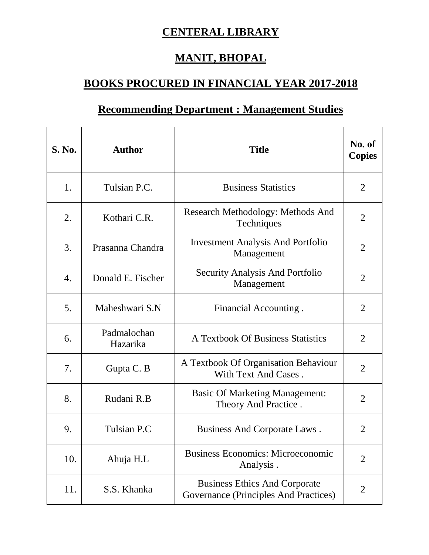## **CENTERAL LIBRARY**

## **MANIT, BHOPAL**

## **BOOKS PROCURED IN FINANCIAL YEAR 2017-2018**

## **Recommending Department : Management Studies**

| <b>S. No.</b> | <b>Author</b>           | <b>Title</b>                                                                  | No. of<br><b>Copies</b> |
|---------------|-------------------------|-------------------------------------------------------------------------------|-------------------------|
| 1.            | Tulsian P.C.            | <b>Business Statistics</b>                                                    | $\overline{2}$          |
| 2.            | Kothari C.R.            | Research Methodology: Methods And<br>Techniques                               | $\overline{2}$          |
| 3.            | Prasanna Chandra        | <b>Investment Analysis And Portfolio</b><br>Management                        | 2                       |
| 4.            | Donald E. Fischer       | <b>Security Analysis And Portfolio</b><br>Management                          | $\overline{2}$          |
| 5.            | Maheshwari S.N          | Financial Accounting.                                                         | $\overline{2}$          |
| 6.            | Padmalochan<br>Hazarika | A Textbook Of Business Statistics                                             | $\overline{2}$          |
| 7.            | Gupta C. B              | A Textbook Of Organisation Behaviour<br>With Text And Cases.                  | $\overline{2}$          |
| 8.            | Rudani R.B              | <b>Basic Of Marketing Management:</b><br>Theory And Practice.                 | $\overline{2}$          |
| 9.            | Tulsian P.C             | Business And Corporate Laws.                                                  | 2                       |
| 10.           | Ahuja H.L               | <b>Business Economics: Microeconomic</b><br>Analysis.                         | $\overline{2}$          |
| 11.           | S.S. Khanka             | <b>Business Ethics And Corporate</b><br>Governance (Principles And Practices) | $\overline{2}$          |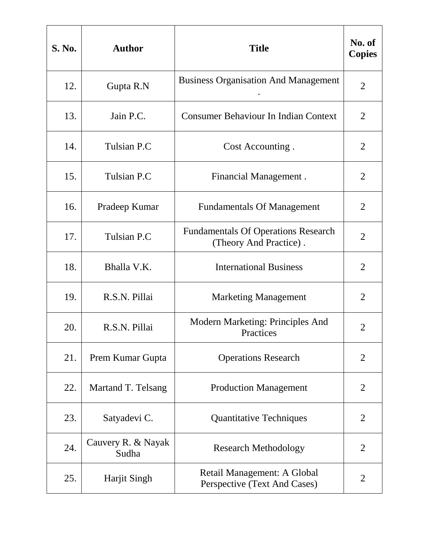| <b>S. No.</b> | <b>Author</b>               | <b>Title</b>                                                         | No. of<br><b>Copies</b> |
|---------------|-----------------------------|----------------------------------------------------------------------|-------------------------|
| 12.           | Gupta R.N                   | <b>Business Organisation And Management</b>                          | $\overline{2}$          |
| 13.           | Jain P.C.                   | <b>Consumer Behaviour In Indian Context</b>                          | $\overline{2}$          |
| 14.           | Tulsian P.C                 | Cost Accounting.                                                     | $\overline{2}$          |
| 15.           | Tulsian P.C                 | Financial Management.                                                | $\overline{2}$          |
| 16.           | Pradeep Kumar               | <b>Fundamentals Of Management</b>                                    | $\overline{2}$          |
| 17.           | Tulsian P.C                 | <b>Fundamentals Of Operations Research</b><br>(Theory And Practice). | $\overline{2}$          |
| 18.           | Bhalla V.K.                 | <b>International Business</b>                                        | $\overline{2}$          |
| 19.           | R.S.N. Pillai               | <b>Marketing Management</b>                                          | $\overline{2}$          |
| 20.           | R.S.N. Pillai               | Modern Marketing: Principles And<br>Practices                        | $\overline{2}$          |
| 21.           | Prem Kumar Gupta            | <b>Operations Research</b>                                           | $\overline{2}$          |
| 22.           | Martand T. Telsang          | <b>Production Management</b>                                         | $\overline{2}$          |
| 23.           | Satyadevi C.                | <b>Quantitative Techniques</b>                                       | $\overline{2}$          |
| 24.           | Cauvery R. & Nayak<br>Sudha | <b>Research Methodology</b>                                          | $\overline{2}$          |
| 25.           | <b>Harjit Singh</b>         | Retail Management: A Global<br>Perspective (Text And Cases)          | $\overline{2}$          |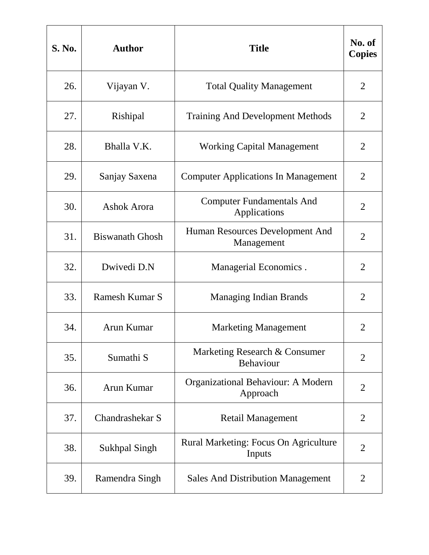| <b>S. No.</b> | <b>Author</b>          | <b>Title</b>                                     | No. of<br><b>Copies</b> |
|---------------|------------------------|--------------------------------------------------|-------------------------|
| 26.           | Vijayan V.             | <b>Total Quality Management</b>                  | $\overline{2}$          |
| 27.           | Rishipal               | <b>Training And Development Methods</b>          | 2                       |
| 28.           | Bhalla V.K.            | <b>Working Capital Management</b>                | $\overline{2}$          |
| 29.           | Sanjay Saxena          | <b>Computer Applications In Management</b>       | $\overline{2}$          |
| 30.           | Ashok Arora            | <b>Computer Fundamentals And</b><br>Applications | $\overline{2}$          |
| 31.           | <b>Biswanath Ghosh</b> | Human Resources Development And<br>Management    | $\overline{2}$          |
| 32.           | Dwivedi D.N            | Managerial Economics.                            | $\overline{2}$          |
| 33.           | <b>Ramesh Kumar S</b>  | <b>Managing Indian Brands</b>                    | $\overline{2}$          |
| 34.           | Arun Kumar             | <b>Marketing Management</b>                      | $\overline{2}$          |
| 35.           | Sumathi <sub>S</sub>   | Marketing Research & Consumer<br>Behaviour       | $\overline{2}$          |
| 36.           | Arun Kumar             | Organizational Behaviour: A Modern<br>Approach   | $\overline{2}$          |
| 37.           | Chandrashekar S        | <b>Retail Management</b>                         | $\overline{2}$          |
| 38.           | <b>Sukhpal Singh</b>   | Rural Marketing: Focus On Agriculture<br>Inputs  | $\overline{2}$          |
| 39.           | Ramendra Singh         | <b>Sales And Distribution Management</b>         | $\overline{2}$          |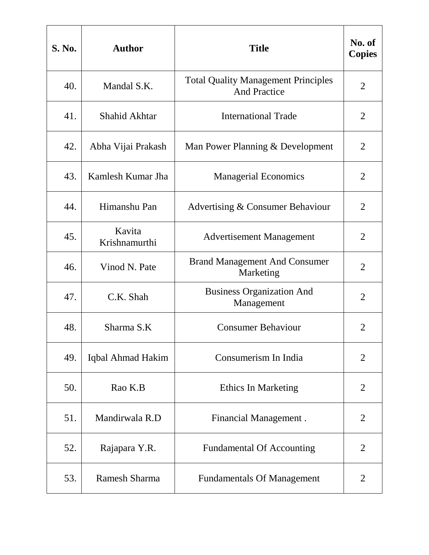| <b>S. No.</b> | <b>Author</b>           | <b>Title</b>                                                      | No. of<br><b>Copies</b> |
|---------------|-------------------------|-------------------------------------------------------------------|-------------------------|
| 40.           | Mandal S.K.             | <b>Total Quality Management Principles</b><br><b>And Practice</b> | $\overline{2}$          |
| 41.           | <b>Shahid Akhtar</b>    | <b>International Trade</b>                                        | 2                       |
| 42.           | Abha Vijai Prakash      | Man Power Planning & Development                                  | $\overline{2}$          |
| 43.           | Kamlesh Kumar Jha       | <b>Managerial Economics</b>                                       | $\overline{2}$          |
| 44.           | Himanshu Pan            | Advertising & Consumer Behaviour                                  | $\overline{2}$          |
| 45.           | Kavita<br>Krishnamurthi | <b>Advertisement Management</b>                                   | $\overline{2}$          |
| 46.           | Vinod N. Pate           | <b>Brand Management And Consumer</b><br>Marketing                 | $\overline{2}$          |
| 47.           | C.K. Shah               | <b>Business Organization And</b><br>Management                    | $\overline{2}$          |
| 48.           | Sharma S.K              | <b>Consumer Behaviour</b>                                         | $\overline{2}$          |
| 49.           | Iqbal Ahmad Hakim       | Consumerism In India                                              | $\overline{2}$          |
| 50.           | Rao K.B                 | Ethics In Marketing                                               | $\overline{2}$          |
| 51.           | Mandirwala R.D          | Financial Management.                                             | $\overline{2}$          |
| 52.           | Rajapara Y.R.           | <b>Fundamental Of Accounting</b>                                  | $\overline{2}$          |
| 53.           | Ramesh Sharma           | <b>Fundamentals Of Management</b>                                 | $\overline{2}$          |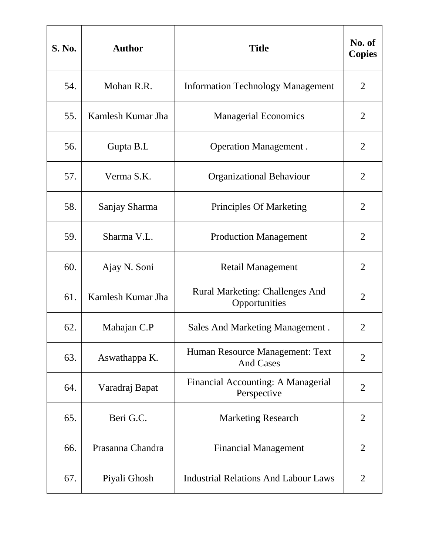| <b>S. No.</b> | <b>Author</b>     | <b>Title</b>                                            | No. of<br><b>Copies</b> |
|---------------|-------------------|---------------------------------------------------------|-------------------------|
| 54.           | Mohan R.R.        | <b>Information Technology Management</b>                | $\overline{2}$          |
| 55.           | Kamlesh Kumar Jha | <b>Managerial Economics</b>                             | 2                       |
| 56.           | Gupta B.L         | <b>Operation Management.</b>                            | $\overline{2}$          |
| 57.           | Verma S.K.        | <b>Organizational Behaviour</b>                         | $\overline{2}$          |
| 58.           | Sanjay Sharma     | <b>Principles Of Marketing</b>                          | $\overline{2}$          |
| 59.           | Sharma V.L.       | <b>Production Management</b>                            | $\overline{2}$          |
| 60.           | Ajay N. Soni      | <b>Retail Management</b>                                | $\overline{2}$          |
| 61.           | Kamlesh Kumar Jha | <b>Rural Marketing: Challenges And</b><br>Opportunities | $\overline{2}$          |
| 62.           | Mahajan C.P       | <b>Sales And Marketing Management.</b>                  | 2                       |
| 63.           | Aswathappa K.     | Human Resource Management: Text<br><b>And Cases</b>     | 2                       |
| 64.           | Varadraj Bapat    | Financial Accounting: A Managerial<br>Perspective       | $\overline{2}$          |
| 65.           | Beri G.C.         | <b>Marketing Research</b>                               | $\overline{2}$          |
| 66.           | Prasanna Chandra  | <b>Financial Management</b>                             | 2                       |
| 67.           | Piyali Ghosh      | <b>Industrial Relations And Labour Laws</b>             | $\overline{2}$          |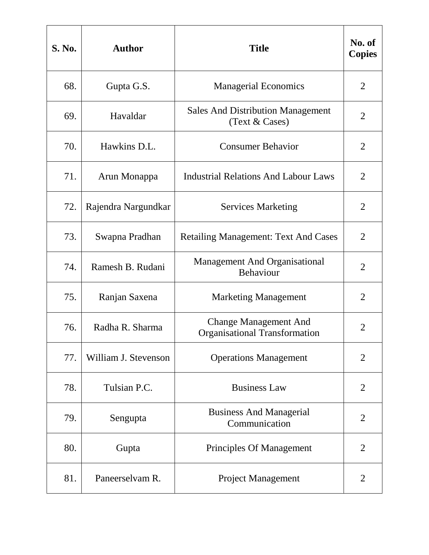| <b>S. No.</b> | <b>Author</b>        | <b>Title</b>                                                         | No. of<br><b>Copies</b> |
|---------------|----------------------|----------------------------------------------------------------------|-------------------------|
| 68.           | Gupta G.S.           | <b>Managerial Economics</b>                                          | $\overline{2}$          |
| 69.           | Havaldar             | <b>Sales And Distribution Management</b><br>(Text & Cases)           | 2                       |
| 70.           | Hawkins D.L.         | <b>Consumer Behavior</b>                                             | $\overline{2}$          |
| 71.           | Arun Monappa         | <b>Industrial Relations And Labour Laws</b>                          | $\overline{2}$          |
| 72.           | Rajendra Nargundkar  | <b>Services Marketing</b>                                            | $\overline{2}$          |
| 73.           | Swapna Pradhan       | <b>Retailing Management: Text And Cases</b>                          | $\overline{2}$          |
| 74.           | Ramesh B. Rudani     | <b>Management And Organisational</b><br>Behaviour                    | $\overline{2}$          |
| 75.           | Ranjan Saxena        | <b>Marketing Management</b>                                          | $\overline{2}$          |
| 76.           | Radha R. Sharma      | <b>Change Management And</b><br><b>Organisational Transformation</b> | $\overline{2}$          |
| 77.           | William J. Stevenson | <b>Operations Management</b>                                         | $\overline{2}$          |
| 78.           | Tulsian P.C.         | <b>Business Law</b>                                                  | $\overline{2}$          |
| 79.           | Sengupta             | <b>Business And Managerial</b><br>Communication                      | $\overline{2}$          |
| 80.           | Gupta                | Principles Of Management                                             | $\overline{2}$          |
| 81.           | Paneerselvam R.      | Project Management                                                   | $\overline{2}$          |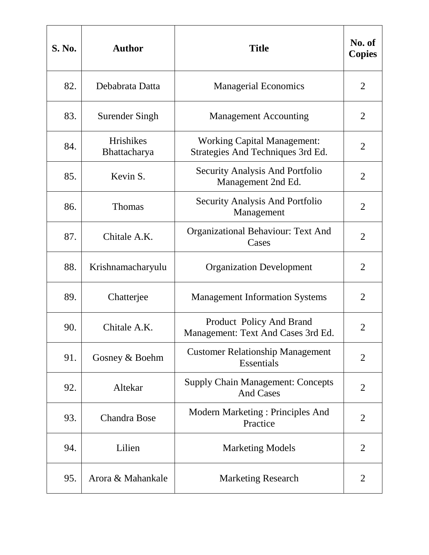| <b>S. No.</b> | <b>Author</b>             | <b>Title</b>                                                            | No. of<br><b>Copies</b> |
|---------------|---------------------------|-------------------------------------------------------------------------|-------------------------|
| 82.           | Debabrata Datta           | <b>Managerial Economics</b>                                             | $\overline{2}$          |
| 83.           | Surender Singh            | <b>Management Accounting</b>                                            | $\overline{2}$          |
| 84.           | Hrishikes<br>Bhattacharya | <b>Working Capital Management:</b><br>Strategies And Techniques 3rd Ed. | $\overline{2}$          |
| 85.           | Kevin S.                  | Security Analysis And Portfolio<br>Management 2nd Ed.                   | $\overline{2}$          |
| 86.           | <b>Thomas</b>             | Security Analysis And Portfolio<br>Management                           | $\overline{2}$          |
| 87.           | Chitale A.K.              | Organizational Behaviour: Text And<br>Cases                             | $\overline{2}$          |
| 88.           | Krishnamacharyulu         | <b>Organization Development</b>                                         | $\overline{2}$          |
| 89.           | Chatterjee                | <b>Management Information Systems</b>                                   | $\overline{2}$          |
| 90.           | Chitale A.K.              | Product Policy And Brand<br>Management: Text And Cases 3rd Ed.          | $\overline{2}$          |
| 91.           | Gosney & Boehm            | <b>Customer Relationship Management</b><br>Essentials                   | $\overline{2}$          |
| 92.           | Altekar                   | <b>Supply Chain Management: Concepts</b><br><b>And Cases</b>            | $\overline{2}$          |
| 93.           | <b>Chandra Bose</b>       | Modern Marketing : Principles And<br>Practice                           | $\overline{2}$          |
| 94.           | Lilien                    | <b>Marketing Models</b>                                                 | 2                       |
| 95.           | Arora & Mahankale         | <b>Marketing Research</b>                                               | 2                       |